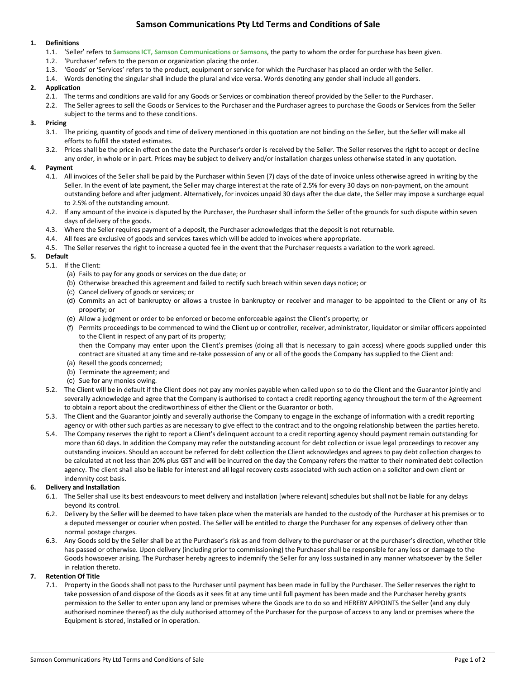# **Samson Communications Pty Ltd Terms and Conditions of Sale**

## **1. Definitions**

- 1.1. 'Seller' refers to **Samsons ICT, Samson Communications or Samsons**, the party to whom the order for purchase has been given.
- 1.2. 'Purchaser' refers to the person or organization placing the order.
- 1.3. 'Goods' or 'Services' refers to the product, equipment or service for which the Purchaser has placed an order with the Seller.
- 1.4. Words denoting the singular shall include the plural and vice versa. Words denoting any gender shall include all genders.

## **2. Application**

- 2.1. The terms and conditions are valid for any Goods or Services or combination thereof provided by the Seller to the Purchaser.
- 2.2. The Seller agrees to sell the Goods or Services to the Purchaser and the Purchaser agrees to purchase the Goods or Services from the Seller subject to the terms and to these conditions.

## **3. Pricing**

- 3.1. The pricing, quantity of goods and time of delivery mentioned in this quotation are not binding on the Seller, but the Seller will make all efforts to fulfill the stated estimates.
- 3.2. Prices shall be the price in effect on the date the Purchaser's order is received by the Seller. The Seller reserves the right to accept or decline any order, in whole or in part. Prices may be subject to delivery and/or installation charges unless otherwise stated in any quotation.

## **4. Payment**

- 4.1. All invoices of the Seller shall be paid by the Purchaser within Seven (7) days of the date of invoice unless otherwise agreed in writing by the Seller. In the event of late payment, the Seller may charge interest at the rate of 2.5% for every 30 days on non-payment, on the amount outstanding before and after judgment. Alternatively, for invoices unpaid 30 days after the due date, the Seller may impose a surcharge equal to 2.5% of the outstanding amount.
- 4.2. If any amount of the invoice is disputed by the Purchaser, the Purchaser shall inform the Seller of the grounds for such dispute within seven days of delivery of the goods.
- 4.3. Where the Seller requires payment of a deposit, the Purchaser acknowledges that the deposit is not returnable.
- 4.4. All fees are exclusive of goods and services taxes which will be added to invoices where appropriate.
- 4.5. The Seller reserves the right to increase a quoted fee in the event that the Purchaser requests a variation to the work agreed.

# **5. Default**

- 5.1. If the Client:
	- (a) Fails to pay for any goods or services on the due date; or
	- (b) Otherwise breached this agreement and failed to rectify such breach within seven days notice; or
	- (c) Cancel delivery of goods or services; or
	- (d) Commits an act of bankruptcy or allows a trustee in bankruptcy or receiver and manager to be appointed to the Client or any of its property; or
	- (e) Allow a judgment or order to be enforced or become enforceable against the Client's property; or
	- (f) Permits proceedings to be commenced to wind the Client up or controller, receiver, administrator, liquidator or similar officers appointed to the Client in respect of any part of its property; then the Company may enter upon the Client's premises (doing all that is necessary to gain access) where goods supplied under this contract are situated at any time and re-take possession of any or all of the goods the Company has supplied to the Client and:
	- (a) Resell the goods concerned;
	- (b) Terminate the agreement; and
	- (c) Sue for any monies owing.
- 5.2. The Client will be in default if the Client does not pay any monies payable when called upon so to do the Client and the Guarantor jointly and severally acknowledge and agree that the Company is authorised to contact a credit reporting agency throughout the term of the Agreement to obtain a report about the creditworthiness of either the Client or the Guarantor or both.
- 5.3. The Client and the Guarantor jointly and severally authorise the Company to engage in the exchange of information with a credit reporting agency or with other such parties as are necessary to give effect to the contract and to the ongoing relationship between the parties hereto.
- 5.4. The Company reserves the right to report a Client's delinquent account to a credit reporting agency should payment remain outstanding for more than 60 days. In addition the Company may refer the outstanding account for debt collection or issue legal proceedings to recover any outstanding invoices. Should an account be referred for debt collection the Client acknowledges and agrees to pay debt collection charges to be calculated at not less than 20% plus GST and will be incurred on the day the Company refers the matter to their nominated debt collection agency. The client shall also be liable for interest and all legal recovery costs associated with such action on a solicitor and own client or indemnity cost basis.

# **6. Delivery and Installation**

- 6.1. The Seller shall use its best endeavours to meet delivery and installation [where relevant] schedules but shall not be liable for any delays beyond its control.
- 6.2. Delivery by the Seller will be deemed to have taken place when the materials are handed to the custody of the Purchaser at his premises or to a deputed messenger or courier when posted. The Seller will be entitled to charge the Purchaser for any expenses of delivery other than normal postage charges.
- 6.3. Any Goods sold by the Seller shall be at the Purchaser's risk as and from delivery to the purchaser or at the purchaser's direction, whether title has passed or otherwise. Upon delivery (including prior to commissioning) the Purchaser shall be responsible for any loss or damage to the Goods howsoever arising. The Purchaser hereby agrees to indemnify the Seller for any loss sustained in any manner whatsoever by the Seller in relation thereto.

# **7. Retention Of Title**

7.1. Property in the Goods shall not pass to the Purchaser until payment has been made in full by the Purchaser. The Seller reserves the right to take possession of and dispose of the Goods as it sees fit at any time until full payment has been made and the Purchaser hereby grants permission to the Seller to enter upon any land or premises where the Goods are to do so and HEREBY APPOINTS the Seller (and any duly authorised nominee thereof) as the duly authorised attorney of the Purchaser for the purpose of access to any land or premises where the Equipment is stored, installed or in operation.